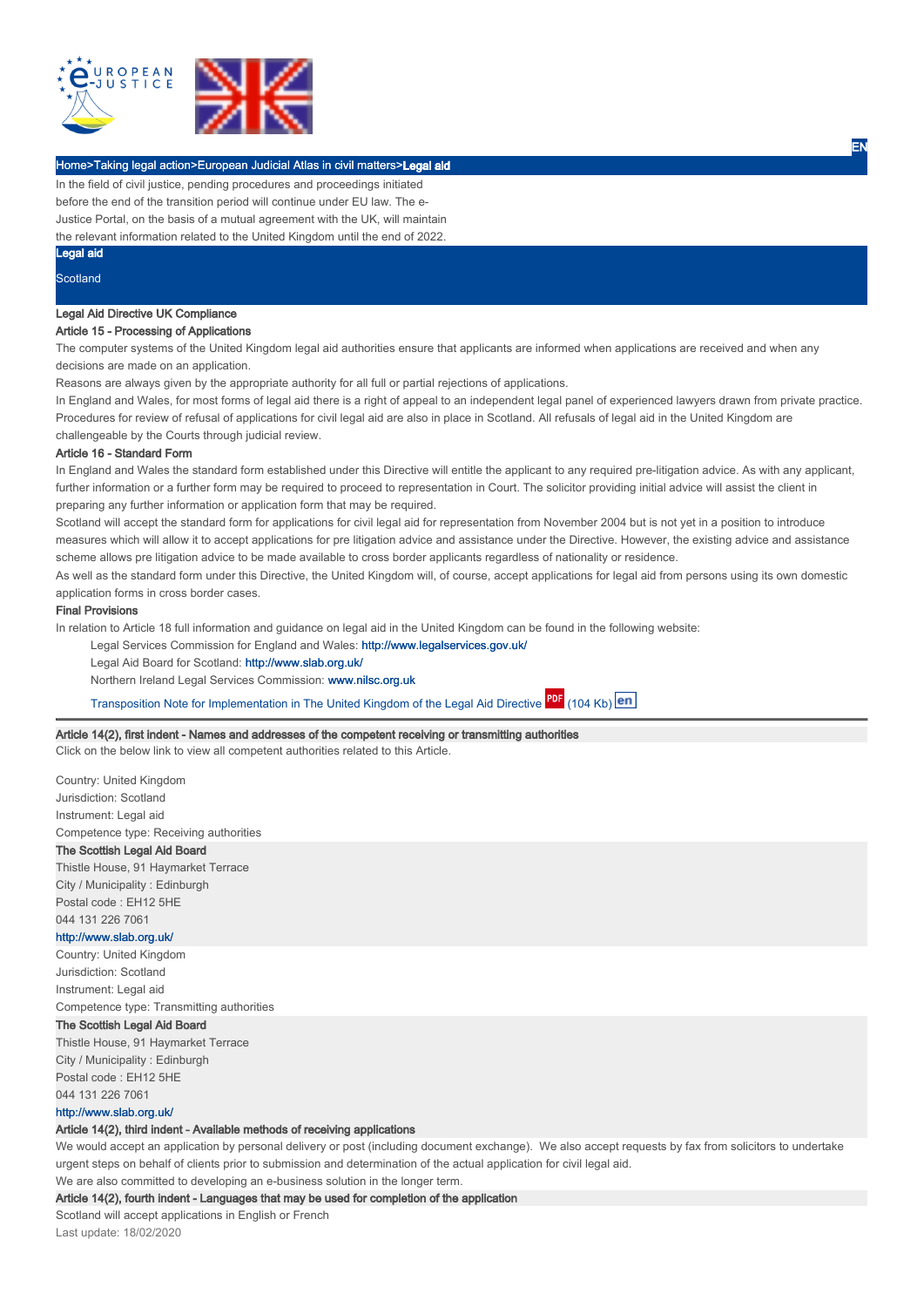

## Home>Taking legal action>European Judicial Atlas in civil matters>Legal aid

In the field of civil justice, pending procedures and proceedings initiated before the end of the transition period will continue under EU law. The e-Justice Portal, on the basis of a mutual agreement with the UK, will maintain

the relevant information related to the United Kingdom until the end of 2022.

#### Legal aid

**Scotland** 

## Legal Aid Directive UK Compliance

### Article 15 - Processing of Applications

The computer systems of the United Kingdom legal aid authorities ensure that applicants are informed when applications are received and when any decisions are made on an application.

Reasons are always given by the appropriate authority for all full or partial rejections of applications.

In England and Wales, for most forms of legal aid there is a right of appeal to an independent legal panel of experienced lawyers drawn from private practice. Procedures for review of refusal of applications for civil legal aid are also in place in Scotland. All refusals of legal aid in the United Kingdom are challengeable by the Courts through judicial review.

EN

### Article 16 - Standard Form

In England and Wales the standard form established under this Directive will entitle the applicant to any required pre-litigation advice. As with any applicant, further information or a further form may be required to proceed to representation in Court. The solicitor providing initial advice will assist the client in preparing any further information or application form that may be required.

Scotland will accept the standard form for applications for civil legal aid for representation from November 2004 but is not yet in a position to introduce measures which will allow it to accept applications for pre litigation advice and assistance under the Directive. However, the existing advice and assistance scheme allows pre litigation advice to be made available to cross border applicants regardless of nationality or residence.

As well as the standard form under this Directive, the United Kingdom will, of course, accept applications for legal aid from persons using its own domestic application forms in cross border cases.

### Final Provisions

In relation to Article 18 full information and guidance on legal aid in the United Kingdom can be found in the following website:

Legal Services Commission for England and Wales: http://www.legalservices.gov.uk/

Legal Aid Board for Scotland: http://www.slab.org.uk/

Northern Ireland Legal Services Commission: www.nilsc.org.uk

Transposition Note for Implementation in The United Kingdom of the Legal Aid Directive PDF (104 Kb) en

### Article 14(2), first indent - Names and addresses of the competent receiving or transmitting authorities

Click on the below link to view all competent authorities related to this Article.

Country: United Kingdom Jurisdiction: Scotland Instrument: Legal aid Competence type: Receiving authorities

# The Scottish Legal Aid Board

Thistle House, 91 Haymarket Terrace City / Municipality : Edinburgh Postal code : EH12 5HE 044 131 226 7061

### http://www.slab.org.uk/

Country: United Kingdom Jurisdiction: Scotland Instrument: Legal aid Competence type: Transmitting authorities

#### The Scottish Legal Aid Board

Thistle House, 91 Haymarket Terrace City / Municipality : Edinburgh Postal code : EH12 5HE 044 131 226 7061

# http://www.slab.org.uk/

## Article 14(2), third indent - Available methods of receiving applications

We would accept an application by personal delivery or post (including document exchange). We also accept requests by fax from solicitors to undertake urgent steps on behalf of clients prior to submission and determination of the actual application for civil legal aid.

We are also committed to developing an e-business solution in the longer term.

### Article 14(2), fourth indent - Languages that may be used for completion of the application

Scotland will accept applications in English or French Last update: 18/02/2020